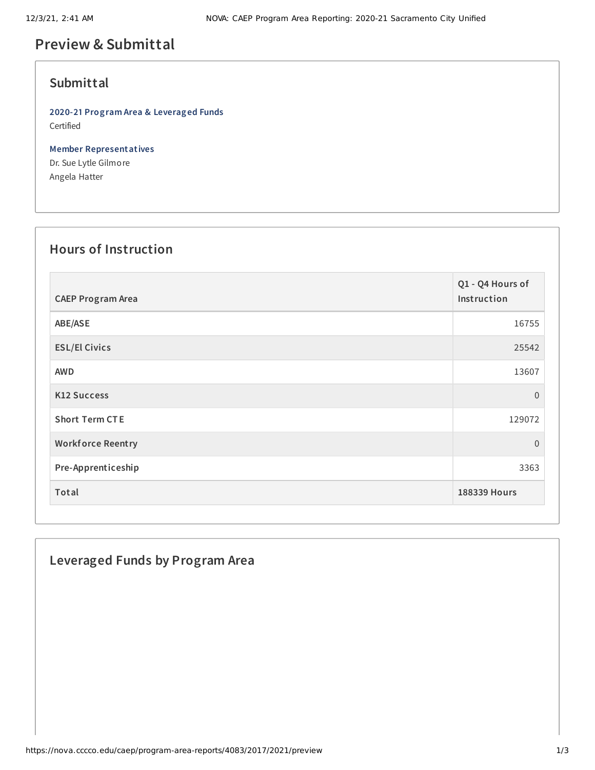# **Preview & Submittal**

### **Submittal**

**2020-21 Program Area & Leveraged Funds** Certified

**Member Representatives** Dr. Sue Lytle Gilmore Angela Hatter

#### **Hours of Instruction**

| <b>CAEP Program Area</b> | Q1 - Q4 Hours of<br>Instruction |
|--------------------------|---------------------------------|
| ABE/ASE                  | 16755                           |
| <b>ESL/El Civics</b>     | 25542                           |
| <b>AWD</b>               | 13607                           |
| <b>K12 Success</b>       | $\overline{0}$                  |
| <b>Short Term CTE</b>    | 129072                          |
| <b>Workforce Reentry</b> | 0                               |
| Pre-Apprenticeship       | 3363                            |
| Total                    | 188339 Hours                    |

### **Leveraged Funds by Program Area**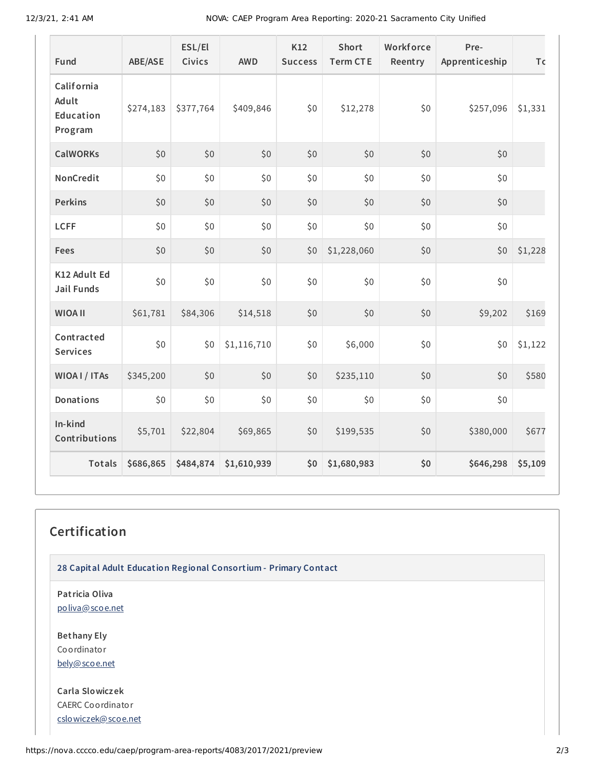12/3/21, 2:41 AM NOVA: CAEP Program Area Reporting: 2020-21 Sacramento City Unified

| Fund                                        | <b>ABE/ASE</b> | ESL/El<br><b>Civics</b> | <b>AWD</b>  | K12<br><b>Success</b> | <b>Short</b><br><b>Term CTE</b> | Workforce<br>Reentry | Pre-<br>Apprenticeship | To      |
|---------------------------------------------|----------------|-------------------------|-------------|-----------------------|---------------------------------|----------------------|------------------------|---------|
| California<br>Adult<br>Education<br>Program | \$274,183      | \$377,764               | \$409,846   | \$0                   | \$12,278                        | \$0                  | \$257,096              | \$1,331 |
| <b>CalWORKs</b>                             | \$0            | \$0                     | \$0         | \$0                   | \$0                             | \$0                  | \$0                    |         |
| NonCredit                                   | \$0            | \$0                     | \$0         | $$0$$                 | \$0                             | \$0                  | \$0                    |         |
| <b>Perkins</b>                              | \$0            | \$0                     | \$0         | \$0                   | \$0                             | \$0                  | \$0                    |         |
| <b>LCFF</b>                                 | \$0            | \$0                     | \$0         | \$0                   | \$0                             | \$0                  | \$0                    |         |
| Fees                                        | \$0            | \$0                     | \$0         | \$0                   | \$1,228,060                     | \$0                  | \$0                    | \$1,228 |
| K12 Adult Ed<br><b>Jail Funds</b>           | \$0            | \$0                     | \$0         | \$0                   | \$0                             | \$0                  | \$0                    |         |
| <b>WIOA II</b>                              | \$61,781       | \$84,306                | \$14,518    | \$0                   | \$0                             | \$0                  | \$9,202                | \$169   |
| Contracted<br><b>Services</b>               | \$0            | \$0                     | \$1,116,710 | \$0                   | \$6,000                         | \$0                  | \$0                    | \$1,122 |
| WIOA I / ITAs                               | \$345,200      | \$0                     | \$0         | \$0                   | \$235,110                       | \$0                  | \$0                    | \$580   |
| Donations                                   | \$0            | \$0                     | \$0         | \$0                   | \$0                             | \$0                  | \$0                    |         |
| In-kind<br>Contributions                    | \$5,701        | \$22,804                | \$69,865    | \$0                   | \$199,535                       | \$0                  | \$380,000              | \$677   |
| Totals                                      | \$686,865      | \$484,874               | \$1,610,939 | \$0                   | \$1,680,983                     | \$0                  | \$646,298              | \$5,109 |

## **Certification**

**28 Capital Adult Education Regional Consortium - Primary Contact**

**Patricia Oliva** [poliva@scoe.net](mailto:poliva@scoe.net)

**Bethany Ely** Coordinator [bely@scoe.net](mailto:bely@scoe.net)

**Carla Slowiczek** CAERC Coordinator [cslowiczek@scoe.net](mailto:cslowiczek@scoe.net)